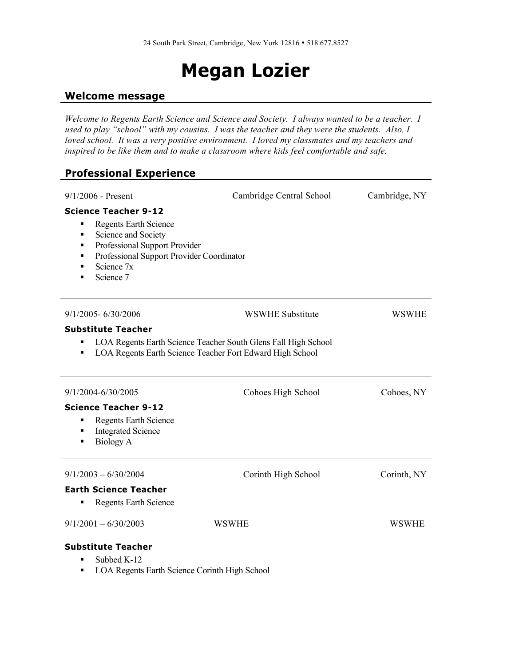# **Megan Lozier**

#### **Welcome message**

*Welcome to Regents Earth Science and Science and Society. I always wanted to be a teacher. I used to play "school" with my cousins. I was the teacher and they were the students. Also, I loved school. It was a very positive environment. I loved my classmates and my teachers and* inspired to be like them and to make a classroom where kids feel comfortable and safe.

### **Professional Experience**

| $9/1/2006$ - Present                                                                                                                                                                                                 | Cambridge Central School                                                                                                    | Cambridge, NY |  |
|----------------------------------------------------------------------------------------------------------------------------------------------------------------------------------------------------------------------|-----------------------------------------------------------------------------------------------------------------------------|---------------|--|
| <b>Science Teacher 9-12</b><br><b>Regents Earth Science</b><br>٠<br>Science and Society<br>٠<br>Professional Support Provider<br>٠<br>Professional Support Provider Coordinator<br>٠<br>Science 7x<br>Science 7<br>п |                                                                                                                             |               |  |
| 9/1/2005-6/30/2006                                                                                                                                                                                                   | <b>WSWHE Substitute</b>                                                                                                     | <b>WSWHE</b>  |  |
| <b>Substitute Teacher</b>                                                                                                                                                                                            |                                                                                                                             |               |  |
|                                                                                                                                                                                                                      | LOA Regents Earth Science Teacher South Glens Fall High School<br>LOA Regents Earth Science Teacher Fort Edward High School |               |  |
| 9/1/2004-6/30/2005                                                                                                                                                                                                   | Cohoes High School                                                                                                          | Cohoes, NY    |  |
| <b>Science Teacher 9-12</b>                                                                                                                                                                                          |                                                                                                                             |               |  |
| <b>Regents Earth Science</b><br>٠<br><b>Integrated Science</b><br>٠<br><b>Biology A</b><br>٠                                                                                                                         |                                                                                                                             |               |  |
| $9/1/2003 - 6/30/2004$                                                                                                                                                                                               | Corinth High School                                                                                                         | Corinth, NY   |  |
| <b>Earth Science Teacher</b><br><b>Regents Earth Science</b>                                                                                                                                                         |                                                                                                                             |               |  |
| $9/1/2001 - 6/30/2003$                                                                                                                                                                                               | WSWHE                                                                                                                       | <b>WSWHE</b>  |  |
| <b>Substitute Teacher</b><br>Subbed K-12<br>п                                                                                                                                                                        |                                                                                                                             |               |  |

■ LOA Regents Earth Science Corinth High School